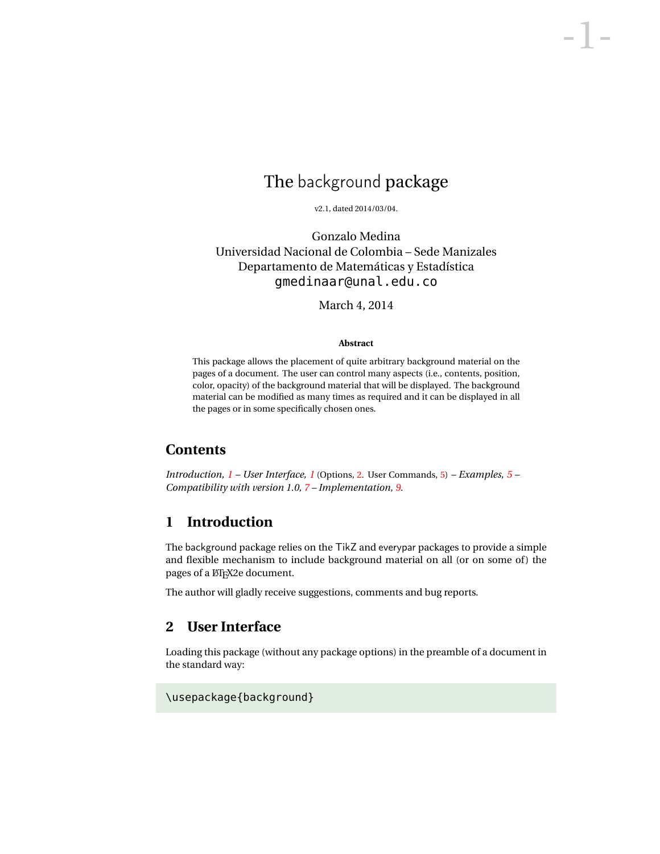# The background package

-1-

v2.1, dated 2014/03/04.

Gonzalo Medina Universidad Nacional de Colombia – Sede Manizales Departamento de Matemáticas y Estadística gmedinaar@unal.edu.co

March 4, 2014

#### **Abstract**

This package allows the placement of quite arbitrary background material on the pages of a document. The user can control many aspects (i.e., contents, position, color, opacity) of the background material that will be displayed. The background material can be modified as many times as required and it can be displayed in all the pages or in some specifically chosen ones.

## **Contents**

*Introduction, [1](#page-0-0) – User Interface, [1](#page-0-1)* (Options, [2.](#page-1-0) User Commands, [5\)](#page-4-0) *– Examples, [5](#page-1-0) – Compatibility with version 1.0, [7](#page-6-0) – Implementation, [9.](#page-8-0)*

## <span id="page-0-0"></span>**1 Introduction**

The background package relies on the TikZ and everypar packages to provide a simple and flexible mechanism to include background material on all (or on some of) the pages of a LATEX2e document.

The author will gladly receive suggestions, comments and bug reports.

## <span id="page-0-1"></span>**2 User Interface**

Loading this package (without any package options) in the preamble of a document in the standard way:

\usepackage{background}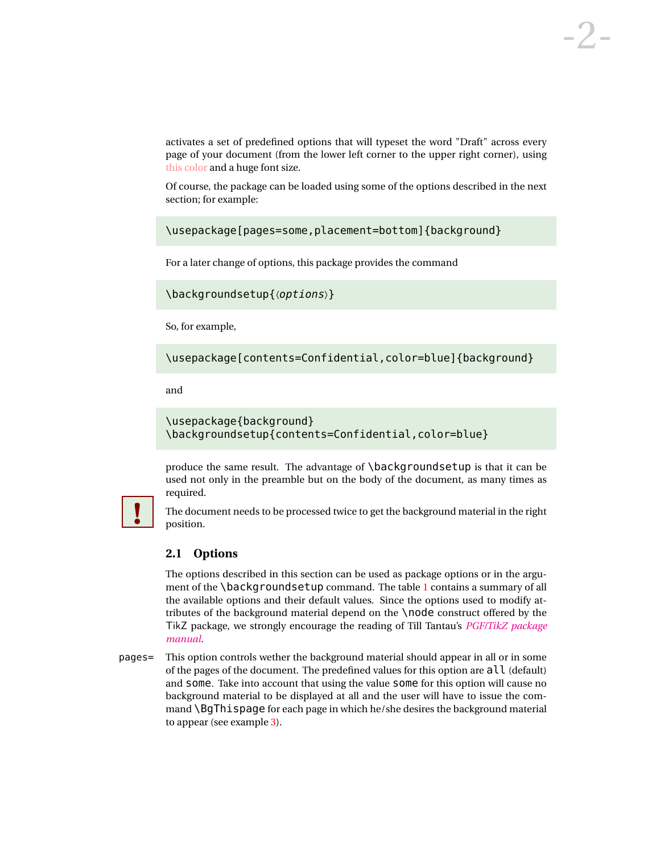activates a set of predefined options that will typeset the word "Draft" across every page of your document (from the lower left corner to the upper right corner), using this color and a huge font size.

Of course, the package can be loaded using some of the options described in the next section; for example:

\usepackage[pages=some,placement=bottom]{background}

For a later change of options, this package provides the command

```
\backgroundsetup{〈options〉}
```
So, for example,

\usepackage[contents=Confidential,color=blue]{background}

and

```
\usepackage{background}
\backgroundsetup{contents=Confidential,color=blue}
```
produce the same result. The advantage of \backgroundsetup is that it can be used not only in the preamble but on the body of the document, as many times as required.



The document needs to be processed twice to get the background material in the right **!** position.

#### <span id="page-1-0"></span>**2.1 Options**

The options described in this section can be used as package options or in the argument of the **\backgroundsetup** command. The table [1](#page-3-0) contains a summary of all the available options and their default values. Since the options used to modify attributes of the background material depend on the \node construct offered by the TikZ package, we strongly encourage the reading of Till Tantau's *[PGF/TikZ package](http://mirror.ctan.org/graphics/pgf/base/doc/generic/pgf/pgfmanual.pdf) [manual](http://mirror.ctan.org/graphics/pgf/base/doc/generic/pgf/pgfmanual.pdf)*.

pages= This option controls wether the background material should appear in all or in some of the pages of the document. The predefined values for this option are  $all$  (default) and some. Take into account that using the value some for this option will cause no background material to be displayed at all and the user will have to issue the command \BgThispage for each page in which he/she desires the background material to appear (see example [3\)](#page-5-0).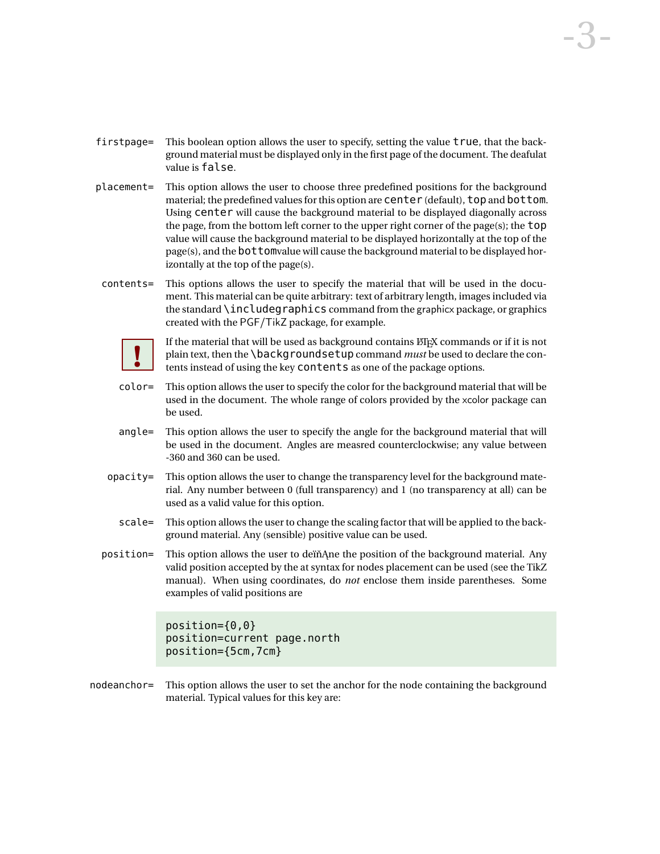- firstpage= This boolean option allows the user to specify, setting the value true, that the background material must be displayed only in the first page of the document. The deafulat value is false.
- placement= This option allows the user to choose three predefined positions for the background material; the predefined values for this option are center (default), top and bottom. Using center will cause the background material to be displayed diagonally across the page, from the bottom left corner to the upper right corner of the page(s); the top value will cause the background material to be displayed horizontally at the top of the page(s), and the bottomvalue will cause the background material to be displayed horizontally at the top of the page(s).
- contents= This options allows the user to specify the material that will be used in the document. This material can be quite arbitrary: text of arbitrary length, images included via the standard \includegraphics command from the graphicx package, or graphics created with the PGF/TikZ package, for example.



If the material that will be used as background contains ETEX commands or if it is not plain text, then the \backgroundsetup command *must* be used to declare the contents instead of using the key contents as one of the package options.

- color= This option allows the user to specify the color for the background material that will be used in the document. The whole range of colors provided by the xcolor package can be used.
- angle= This option allows the user to specify the angle for the background material that will be used in the document. Angles are measred counterclockwise; any value between -360 and 360 can be used.
- $opacity = This option allows the user to change the transparency level for the background mate$ rial. Any number between 0 (full transparency) and 1 (no transparency at all) can be used as a valid value for this option.
	- scale= This option allows the user to change the scaling factor that will be applied to the background material. Any (sensible) positive value can be used.
- position = This option allows the user to deïnance the position of the background material. Any valid position accepted by the at syntax for nodes placement can be used (see the TikZ manual). When using coordinates, do *not* enclose them inside parentheses. Some examples of valid positions are

```
position={0,0}
position=current page.north
position={5cm,7cm}
```
nodeanchor= This option allows the user to set the anchor for the node containing the background material. Typical values for this key are: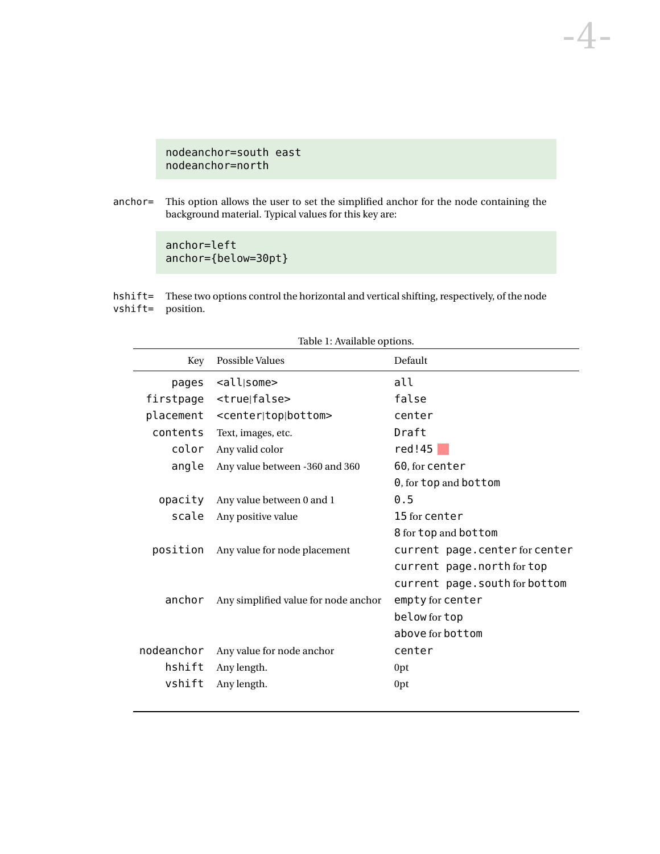### nodeanchor=south east nodeanchor=north

anchor= This option allows the user to set the simplified anchor for the node containing the background material. Typical values for this key are:

-4-

<span id="page-3-0"></span>anchor=left anchor={below=30pt}

hshift= These two options control the horizontal and vertical shifting, respectively, of the node vshift= position.

| Table 1: Available options. |                                         |                                |  |
|-----------------------------|-----------------------------------------|--------------------------------|--|
| Key                         | Possible Values                         | Default                        |  |
| pages                       | <all some></all some>                   | all                            |  |
| firstpage                   | <true false></true false>               | false                          |  |
| placement                   | <center top bottom></center top bottom> | center                         |  |
| contents                    | Text, images, etc.                      | Draft                          |  |
| color                       | Any valid color                         | red!45                         |  |
| angle                       | Any value between -360 and 360          | 60, for center                 |  |
|                             |                                         | 0, for top and bottom          |  |
| opacity                     | Any value between 0 and 1               | 0.5                            |  |
| scale                       | Any positive value                      | 15 for center                  |  |
|                             |                                         | 8 for top and bottom           |  |
| position                    | Any value for node placement            | current page.center for center |  |
|                             |                                         | current page.north for top     |  |
|                             |                                         | current page.south for bottom  |  |
| anchor                      | Any simplified value for node anchor    | empty for center               |  |
|                             |                                         | below for top                  |  |
|                             |                                         | above for bottom               |  |
| nodeanchor                  | Any value for node anchor               | center                         |  |
| hshift                      | Any length.                             | 0pt                            |  |
| vshift                      | Any length.                             | 0pt                            |  |
|                             |                                         |                                |  |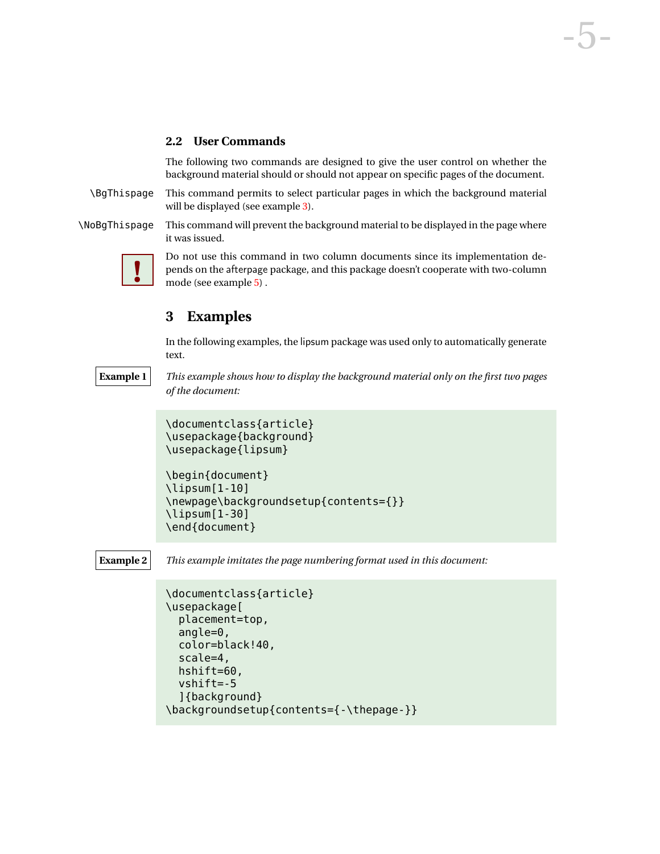#### <span id="page-4-0"></span>**2.2 User Commands**

<span id="page-4-1"></span>The following two commands are designed to give the user control on whether the background material should or should not appear on specific pages of the document.

\BgThispage This command permits to select particular pages in which the background material will be displayed (see example [3\)](#page-5-0).

\NoBgThispage This command will prevent the background material to be displayed in the page where it was issued.



<span id="page-4-2"></span>Do not use this command in two column documents since its implementation de-pends on the afterpage package, and this package doesn't cooperate with two-column mode (see example [5\)](#page-6-1) .

## **3 Examples**

\end{document}

In the following examples, the lipsum package was used only to automatically generate text.

**Example 1** *This example shows how to display the background material only on the first two pages of the document:*

```
\documentclass{article}
\usepackage{background}
\usepackage{lipsum}
\begin{document}
\lipsum[1-10]
\newpage\backgroundsetup{contents={}}
\lipsum[1-30]
```
**Example 2** *This example imitates the page numbering format used in this document:*

```
\documentclass{article}
\usepackage[
  placement=top,
  angle=0,
  color=black!40,
  scale=4,
  hshift=60,
  vshift=-5
  ]{background}
\backgroundsetup{contents={-\thepage-}}
```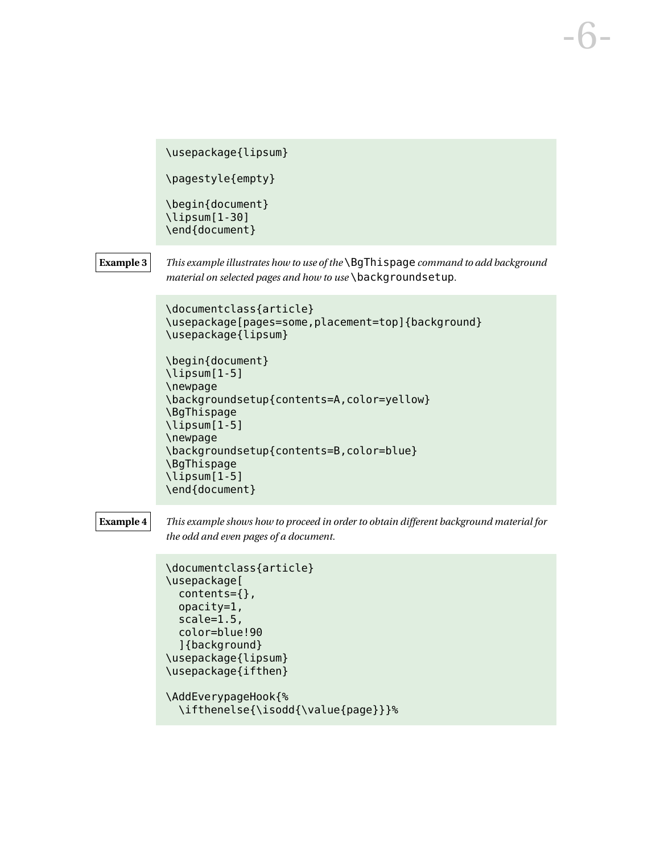<span id="page-5-0"></span>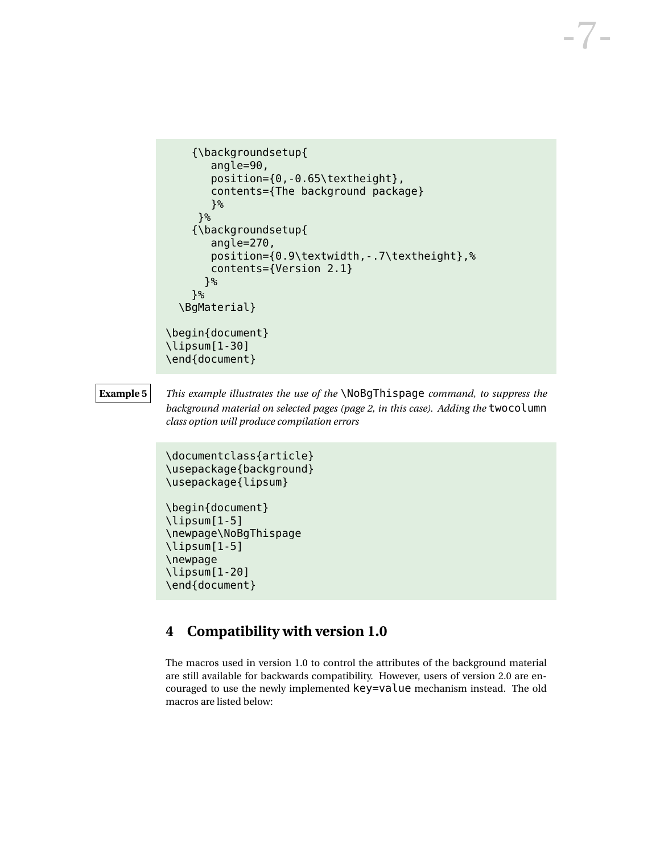```
{\backgroundsetup{
       angle=90,
       position={0,-0.65\textheight},
       contents={The background package}
       }%
     }%
    {\backgroundsetup{
       angle=270,
       position={0.9\textwidth,-.7\textheight},%
       contents={Version 2.1}
      }%
    }%
  \BgMaterial}
\begin{document}
\lipsum[1-30]
\end{document}
```
**Example 5** *This example illustrates the use of the* \NoBgThispage *command, to suppress the background material on selected pages (page 2, in this case). Adding the* twocolumn *class option will produce compilation errors*

```
\documentclass{article}
\usepackage{background}
\usepackage{lipsum}
```

```
\begin{document}
\lipsum[1-5]
\newpage\NoBgThispage
\lipsum[1-5]
\newpage
\lipsum[1-20]
\end{document}
```
# <span id="page-6-0"></span>**4 Compatibility with version 1.0**

The macros used in version 1.0 to control the attributes of the background material are still available for backwards compatibility. However, users of version 2.0 are encouraged to use the newly implemented key=value mechanism instead. The old macros are listed below: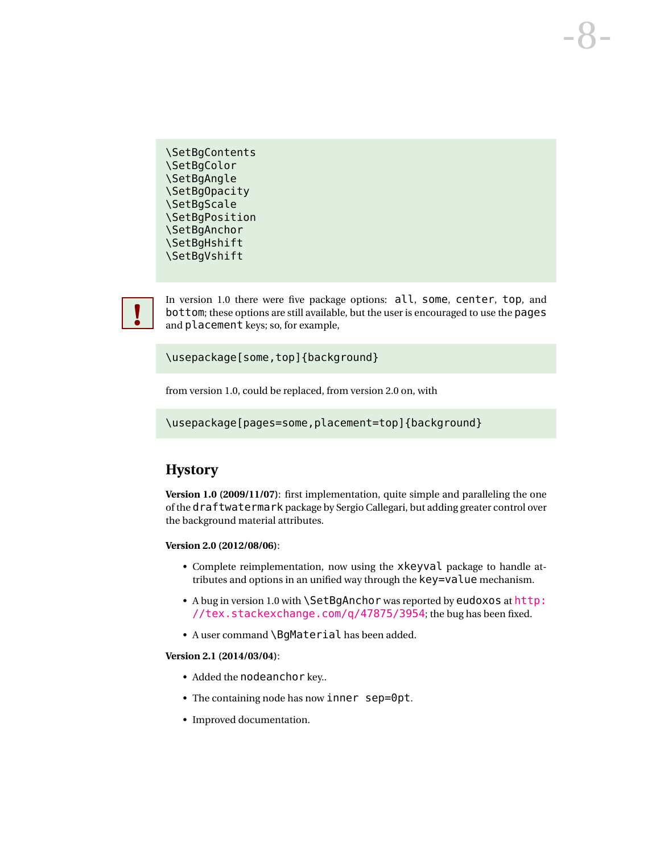\SetBgContents \SetBgColor \SetBgAngle \SetBgOpacity \SetBgScale \SetBgPosition \SetBgAnchor \SetBgHshift \SetBgVshift

In version 1.0 there were five package options: all, some, center, top, and bottom; these options are still available, but the user is encouraged to use the pages **!** and placement keys; so, for example,

\usepackage[some,top]{background}

from version 1.0, could be replaced, from version 2.0 on, with

\usepackage[pages=some,placement=top]{background}

# **Hystory**

**Version 1.0 (2009/11/07)**: first implementation, quite simple and paralleling the one of the draftwatermark package by Sergio Callegari, but adding greater control over the background material attributes.

**Version 2.0 (2012/08/06)**:

- Complete reimplementation, now using the xkeyval package to handle attributes and options in an unified way through the key=value mechanism.
- A bug in version 1.0 with \SetBqAnchor was reported by eudoxos at [http:](http://tex.stackexchange.com/q/47875/3954) [//tex.stackexchange.com/q/47875/3954](http://tex.stackexchange.com/q/47875/3954); the bug has been fixed.
- A user command \BgMaterial has been added.

#### **Version 2.1 (2014/03/04)**:

- Added the nodeanchor key...
- The containing node has now inner sep=0pt.
- Improved documentation.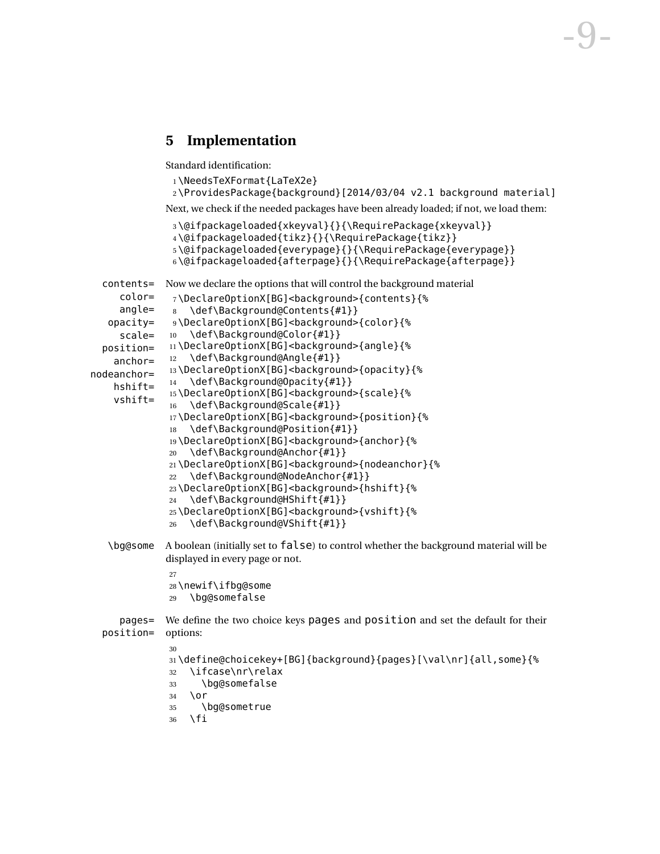## <span id="page-8-0"></span>**5 Implementation**

Standard identification:

```
1 \NeedsTeXFormat{LaTeX2e}
```

```
2 \ProvidesPackage{background}[2014/03/04 v2.1 background material]
```
-9-

<span id="page-8-8"></span><span id="page-8-7"></span><span id="page-8-6"></span><span id="page-8-4"></span><span id="page-8-3"></span><span id="page-8-2"></span><span id="page-8-1"></span>Next, we check if the needed packages have been already loaded; if not, we load them:

```
3 \@ifpackageloaded{xkeyval}{}{\RequirePackage{xkeyval}}
               4 \@ifpackageloaded{tikz}{}{\RequirePackage{tikz}}
               5 \@ifpackageloaded{everypage}{}{\RequirePackage{everypage}}
               6 \@ifpackageloaded{afterpage}{}{\RequirePackage{afterpage}}
  contents=
Now we declare the options that will control the background material
     color=
     angle=
   opacity=
     scale=
  position=
    anchor=
nodeanchor=
    hshift=
    vshift=
               7 \DeclareOptionX[BG]<background>{contents}{%
               8 \def\Background@Contents{#1}}
              9 \DeclareOptionX[BG]<background>{color}{%
             10 \def\Background@Color{#1}}
              11\DeclareOptionX[BG]<br/>background>{angle}{%
              12 \def\Background@Angle{#1}}
              13 \DeclareOptionX[BG]<br/>background>{opacity}{%
              14 \def\Background@Opacity{#1}}
              15 \DeclareOptionX[BG]<br/>background>{scale}{%
              16 \def\Background@Scale{#1}}
              17\DeclareOptionX[BG]<br/>background>{position}{%
              18 \def\Background@Position{#1}}
              19 \DeclareOptionX[BG]<br/>>background>{anchor}{%
              20 \def\Background@Anchor{#1}}
              21\DeclareOptionX[BG]<background>{nodeanchor}{%
              22 \def\Background@NodeAnchor{#1}}
              23\DeclareOptionX[BG]<br/>background>{hshift}{%
              24 \def\Background@HShift{#1}}
              25 \DeclareOptionX[BG]<background>{vshift}{%
              26 \def\Background@VShift{#1}}
   \bg@some A boolean (initially set to false) to control whether the background material will be
             displayed in every page or not.
              27
              28 \newif\ifbg@some
              29 \bg@somefalse
     pages=
  position=
             We define the two choice keys pages and position and set the default for their
             options:
              30
              31 \define@choicekey+[BG]{background}{pages}[\val\nr]{all,some}{%
              32 \ifcase\nr\relax
              33 \bg@somefalse
              34 \or
              35 \bg@sometrue
```

```
36 \fi
```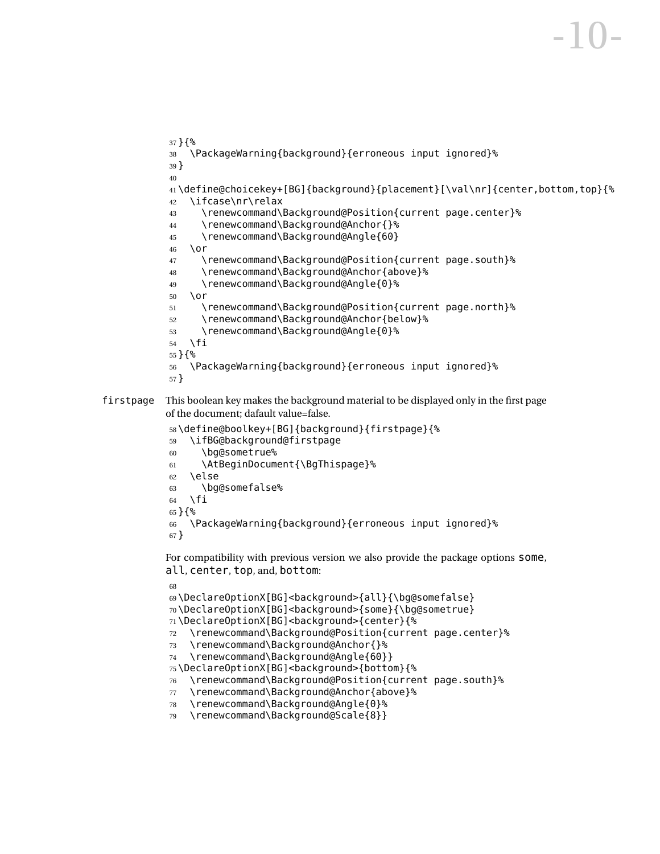```
37 }{%
            38 \PackageWarning{background}{erroneous input ignored}%
           39 }
            40
            41 \define@choicekey+[BG]{background}{placement}[\val\nr]{center,bottom,top}{%
            42 \ifcase\nr\relax
            43 \renewcommand\Background@Position{current page.center}%
            44 \renewcommand\Background@Anchor{}%
            45 \renewcommand\Background@Angle{60}
            46 \or
            47 \renewcommand\Background@Position{current page.south}%
            48 \renewcommand\Background@Anchor{above}%
            49 \renewcommand\Background@Angle{0}%
            50 \or
            51 \renewcommand\Background@Position{current page.north}%
            52 \renewcommand\Background@Anchor{below}%
            53 \renewcommand\Background@Angle{0}%
            54 \forallfi
            55 }{%
            56 \PackageWarning{background}{erroneous input ignored}%
           57 }
firstpage This boolean key makes the background material to be displayed only in the first page
           of the document; dafault value=false.
            58 \define@boolkey+[BG]{background}{firstpage}{%
           59 \ifBG@background@firstpage
           60 \bg@sometrue%
           61 \AtBeginDocument{\BgThispage}%
            62 \else
            63 \bg@somefalse%
            64 \fi
           65 }{%
           66 \PackageWarning{background}{erroneous input ignored}%
           67 }
           For compatibility with previous version we also provide the package options some,
           all, center, top, and, bottom:
            68
```

```
69\DeclareOptionX[BG]<br/>background>{all}{\bg@somefalse}
70\DeclareOptionX[BG]<br/>background>{some}{\bg@sometrue}
71\DeclareOptionX[BG]<background>{center}{%
72 \renewcommand\Background@Position{current page.center}%
73 \renewcommand\Background@Anchor{}%
74 \renewcommand\Background@Angle{60}}
75\DeclareOptionX[BG]<br/>background>{bottom}{%
76 \renewcommand\Background@Position{current page.south}%
77 \renewcommand\Background@Anchor{above}%
78 \renewcommand\Background@Angle{0}%
```

```
79 \renewcommand\Background@Scale{8}}
```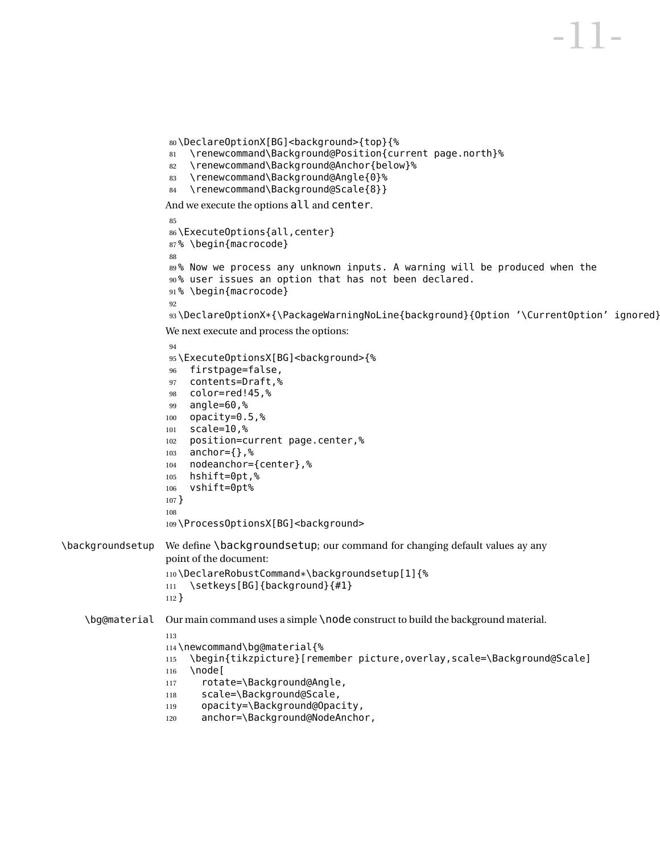```
80\DeclareOptionX[BG]<br/>background>{top}{%
                    81 \renewcommand\Background@Position{current page.north}%
                    82 \renewcommand\Background@Anchor{below}%
                    83 \renewcommand\Background@Angle{0}%
                    84 \renewcommand\Background@Scale{8}}
                   And we execute the options all and center.
                    85
                   86 \ExecuteOptions{all,center}
                   87% \begin{macrocode}
                   88
                   89% Now we process any unknown inputs. A warning will be produced when the
                   90% user issues an option that has not been declared.
                   91% \begin{macrocode}
                   92
                   93 \DeclareOptionX*{\PackageWarningNoLine{background}{Option '\CurrentOption' ignored}}
                   We next execute and process the options:
                   94
                   95\ExecuteOptionsX[BG]<br/>background>{%
                   96 firstpage=false,
                   97 contents=Draft,%
                   98 color=red!45,%
                   99 angle=60,%
                   100 opacity=0.5,%
                   101 scale=10,%
                   102 position=current page.center,%
                   103 anchor={},%
                   104 nodeanchor={center},%
                   105 hshift=0pt,%
                   106 vshift=0pt%
                   107 }
                   108
                   109 \ProcessOptionsX[BG]<br/>background>
\backgroundsetup We define \backgroundsetup; our command for changing default values ay any
                   point of the document:
                   110\DeclareRobustCommand*\backgroundsetup[1]{%<br>111 \setkeys[BG]{background}{#1}
                       \setkeys[BG]{background}{#1}
                   112 }
    \bg@material Our main command uses a simple \node construct to build the background material.
                   113
                   114 \newcommand\bg@material{%
                   115 \begin{tikzpicture}[remember picture,overlay,scale=\Background@Scale]
                   116 \node [
                   117 rotate=\Background@Angle,
                   118 scale=\Background@Scale,
                   119 opacity=\Background@Opacity,
                   120 anchor=\Background@NodeAnchor,
```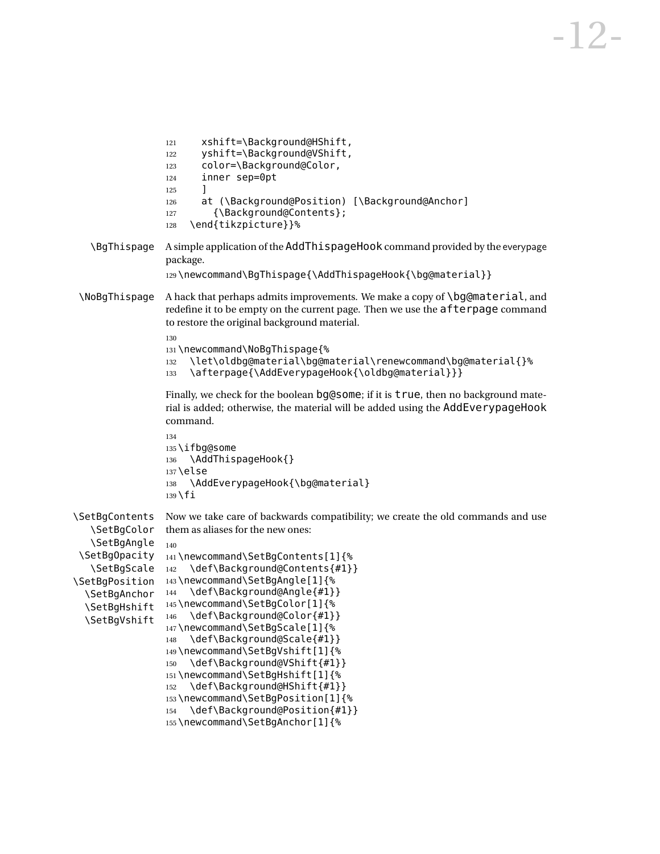```
121 xshift=\Background@HShift,
                 122 yshift=\Background@VShift,
                 123 color=\Background@Color,
                 124 inner sep=0pt
                 125 ]
                 126 at (\Background@Position) [\Background@Anchor]
                 127 {\Background@Contents};
                 128 \end{tikzpicture}}%
   \BgThispage A simple application of the AddThispageHook command provided by the everypage
                 package.
                 129 \newcommand\BgThispage{\AddThispageHook{\bg@material}}
 \NoBgThispage A hack that perhaps admits improvements. We make a copy of \bg@material, and
                 redefine it to be empty on the current page. Then we use the afterpage command
                 to restore the original background material.
                 130
                 131 \newcommand\NoBgThispage{%
                 132 \let\oldbg@material\bg@material\renewcommand\bg@material{}%
                 133 \afterpage{\AddEverypageHook{\oldbg@material}}}
                 Finally, we check for the boolean bg@some; if it is true, then no background mate-
                 rial is added; otherwise, the material will be added using the AddEverypageHook
                 command.
                 134
                 135 \ifbg@some
                 136 \AddThispageHook{}
                 137 \else
                 138 \AddEverypageHook{\bg@material}
                 139 \fi
\SetBgContents
   \SetBgColor
   \SetBgAngle
 \SetBgOpacity
141 \newcommand\SetBgContents[1]{%
   \SetBgScale
\SetBgPosition
 \SetBgAnchor
  \SetBgHshift
  \SetBgVshift
                Now we take care of backwards compatibility; we create the old commands and use
                them as aliases for the new ones:
                140
                142 \def\Background@Contents{#1}}
                143 \newcommand\SetBgAngle[1]{%
                144 \def\Background@Angle{#1}}
                145 \newcommand\SetBgColor[1]{%
                 146 \def\Background@Color{#1}}
                 147 \newcommand\SetBgScale[1]{%
                 148 \def\Background@Scale{#1}}
                 149 \newcommand\SetBgVshift[1]{%
                 150 \def\Background@VShift{#1}}
                 151 \newcommand\SetBgHshift[1]{%
                 152 \def\Background@HShift{#1}}
                 153 \newcommand\SetBgPosition[1]{%
                 154 \def\Background@Position{#1}}
```

```
155 \newcommand\SetBgAnchor[1]{%
```